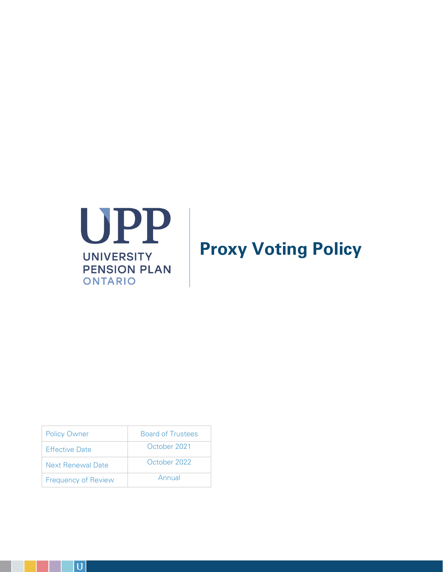

# **Proxy Voting Policy**

| <b>Policy Owner</b>        | <b>Board of Trustees</b> |
|----------------------------|--------------------------|
| <b>Effective Date</b>      | October 2021             |
| <b>Next Renewal Date</b>   | October 2022             |
| <b>Frequency of Review</b> | Annual                   |

 $\overline{U}$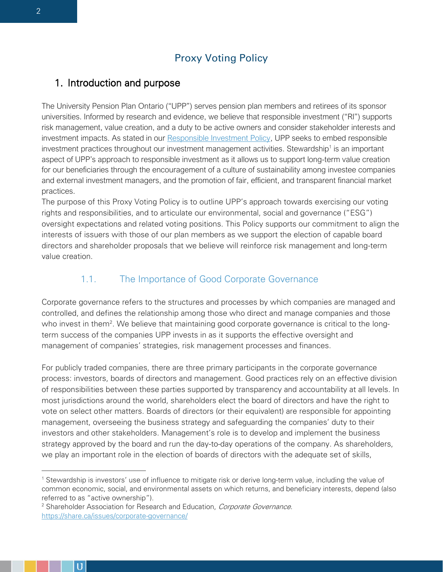# Proxy Voting Policy

# 1. Introduction and purpose

The University Pension Plan Ontario ("UPP") serves pension plan members and retirees of its sponsor universities. Informed by research and evidence, we believe that responsible investment ("RI") supports risk management, value creation, and a duty to be active owners and consider stakeholder interests and investment impacts. As stated in our [Responsible Investment Policy,](https://myupp.ca/wp-content/uploads/2021/07/UPP_SIPP.pdf) UPP seeks to embed responsible investment practices throughout our investment management activities. Stewardship<sup>1</sup> is an important aspect of UPP's approach to responsible investment as it allows us to support long-term value creation for our beneficiaries through the encouragement of a culture of sustainability among investee companies and external investment managers, and the promotion of fair, efficient, and transparent financial market practices.

The purpose of this Proxy Voting Policy is to outline UPP's approach towards exercising our voting rights and responsibilities, and to articulate our environmental, social and governance ("ESG") oversight expectations and related voting positions. This Policy supports our commitment to align the interests of issuers with those of our plan members as we support the election of capable board directors and shareholder proposals that we believe will reinforce risk management and long-term value creation.

# 1.1. The Importance of Good Corporate Governance

Corporate governance refers to the structures and processes by which companies are managed and controlled, and defines the relationship among those who direct and manage companies and those who invest in them<sup>2</sup>. We believe that maintaining good corporate governance is critical to the longterm success of the companies UPP invests in as it supports the effective oversight and management of companies' strategies, risk management processes and finances.

For publicly traded companies, there are three primary participants in the corporate governance process: investors, boards of directors and management. Good practices rely on an effective division of responsibilities between these parties supported by transparency and accountability at all levels. In most jurisdictions around the world, shareholders elect the board of directors and have the right to vote on select other matters. Boards of directors (or their equivalent) are responsible for appointing management, overseeing the business strategy and safeguarding the companies' duty to their investors and other stakeholders. Management's role is to develop and implement the business strategy approved by the board and run the day-to-day operations of the company. As shareholders, we play an important role in the election of boards of directors with the adequate set of skills,

<sup>1</sup> Stewardship is investors' use of influence to mitigate risk or derive long-term value, including the value of common economic, social, and environmental assets on which returns, and beneficiary interests, depend (also referred to as "active ownership").

<sup>&</sup>lt;sup>2</sup> Shareholder Association for Research and Education, Corporate Governance. <https://share.ca/issues/corporate-governance/>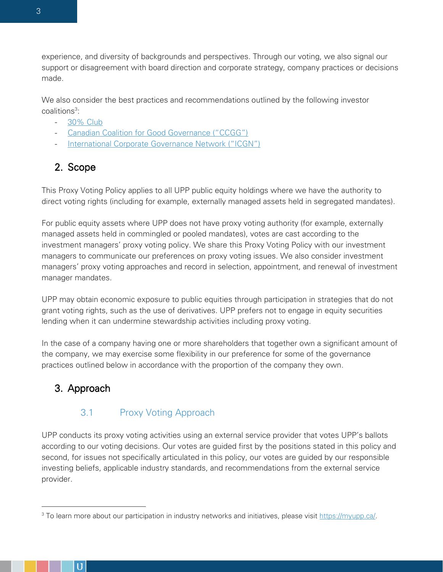experience, and diversity of backgrounds and perspectives. Through our voting, we also signal our support or disagreement with board direction and corporate strategy, company practices or decisions made.

We also consider the best practices and recommendations outlined by the following investor coalitions<sup>3</sup>:

- [30% Club](https://30percentclub.org/)
- Ca[nadian Coalition for Good Governance \("CCGG"\)](https://ccgg.ca/)
- [International Corporate Governance Network \("ICGN"\)](https://www.icgn.org/)

# 2. Scope

This Proxy Voting Policy applies to all UPP public equity holdings where we have the authority to direct voting rights (including for example, externally managed assets held in segregated mandates).

For public equity assets where UPP does not have proxy voting authority (for example, externally managed assets held in commingled or pooled mandates), votes are cast according to the investment managers' proxy voting policy. We share this Proxy Voting Policy with our investment managers to communicate our preferences on proxy voting issues. We also consider investment managers' proxy voting approaches and record in selection, appointment, and renewal of investment manager mandates.

UPP may obtain economic exposure to public equities through participation in strategies that do not grant voting rights, such as the use of derivatives. UPP prefers not to engage in equity securities lending when it can undermine stewardship activities including proxy voting.

In the case of a company having one or more shareholders that together own a significant amount of the company, we may exercise some flexibility in our preference for some of the governance practices outlined below in accordance with the proportion of the company they own.

# 3. Approach

# 3.1 Proxy Voting Approach

UPP conducts its proxy voting activities using an external service provider that votes UPP's ballots according to our voting decisions. Our votes are guided first by the positions stated in this policy and second, for issues not specifically articulated in this policy, our votes are guided by our responsible investing beliefs, applicable industry standards, and recommendations from the external service provider.

<sup>&</sup>lt;sup>3</sup> To learn more about our participation in industry networks and initiatives, please visit [https://myupp.ca/.](https://myupp.ca/investments/responsible-investment/#3930ea1df033686b2)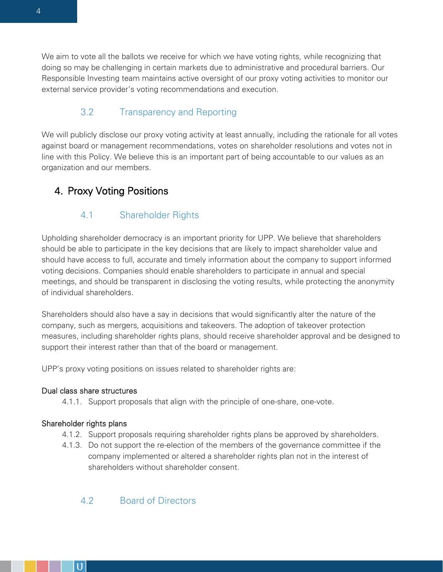We aim to vote all the ballots we receive for which we have voting rights, while recognizing that doing so may be challenging in certain markets due to administrative and procedural barriers. Our Responsible Investing team maintains active oversight of our proxy voting activities to monitor our external service provider's voting recommendations and execution.

# 3.2 Transparency and Reporting

We will publicly disclose our proxy voting activity at least annually, including the rationale for all votes against board or management recommendations, votes on shareholder resolutions and votes not in line with this Policy. We believe this is an important part of being accountable to our values as an organization and our members.

# 4. Proxy Voting Positions

# 4.1 Shareholder Rights

Upholding shareholder democracy is an important priority for UPP. We believe that shareholders should be able to participate in the key decisions that are likely to impact shareholder value and should have access to full, accurate and timely information about the company to support informed voting decisions. Companies should enable shareholders to participate in annual and special meetings, and should be transparent in disclosing the voting results, while protecting the anonymity of individual shareholders.

Shareholders should also have a say in decisions that would significantly alter the nature of the company, such as mergers, acquisitions and takeovers. The adoption of takeover protection measures, including shareholder rights plans, should receive shareholder approval and be designed to support their interest rather than that of the board or management.

UPP's proxy voting positions on issues related to shareholder rights are:

# Dual class share structures

4.1.1. Support proposals that align with the principle of one-share, one-vote.

# Shareholder rights plans

- 4.1.2. Support proposals requiring shareholder rights plans be approved by shareholders.
- 4.1.3. Do not support the re-election of the members of the governance committee if the company implemented or altered a shareholder rights plan not in the interest of shareholders without shareholder consent.

# 4.2 Board of Directors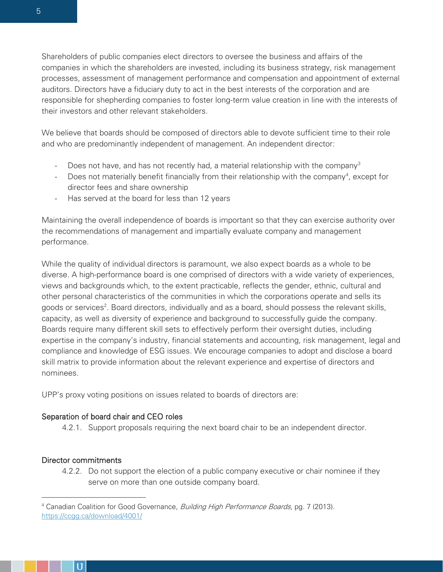Shareholders of public companies elect directors to oversee the business and affairs of the companies in which the shareholders are invested, including its business strategy, risk management processes, assessment of management performance and compensation and appointment of external auditors. Directors have a fiduciary duty to act in the best interests of the corporation and are responsible for shepherding companies to foster long-term value creation in line with the interests of their investors and other relevant stakeholders.

We believe that boards should be composed of directors able to devote sufficient time to their role and who are predominantly independent of management. An independent director:

- Does not have, and has not recently had, a material relationship with the company<sup>3</sup>
- Does not materially benefit financially from their relationship with the company<sup>4</sup>, except for director fees and share ownership
- Has served at the board for less than 12 years

Maintaining the overall independence of boards is important so that they can exercise authority over the recommendations of management and impartially evaluate company and management performance.

While the quality of individual directors is paramount, we also expect boards as a whole to be diverse. A high-performance board is one comprised of directors with a wide variety of experiences, views and backgrounds which, to the extent practicable, reflects the gender, ethnic, cultural and other personal characteristics of the communities in which the corporations operate and sells its goods or services<sup>2</sup>. Board directors, individually and as a board, should possess the relevant skills, capacity, as well as diversity of experience and background to successfully guide the company. Boards require many different skill sets to effectively perform their oversight duties, including expertise in the company's industry, financial statements and accounting, risk management, legal and compliance and knowledge of ESG issues. We encourage companies to adopt and disclose a board skill matrix to provide information about the relevant experience and expertise of directors and nominees.

UPP's proxy voting positions on issues related to boards of directors are:

### Separation of board chair and CEO roles

4.2.1. Support proposals requiring the next board chair to be an independent director.

# Director commitments

4.2.2. Do not support the election of a public company executive or chair nominee if they serve on more than one outside company board.

<sup>&</sup>lt;sup>4</sup> Canadian Coalition for Good Governance, *Building High Performance Boards*, pg. 7 (2013). <https://ccgg.ca/download/4001/>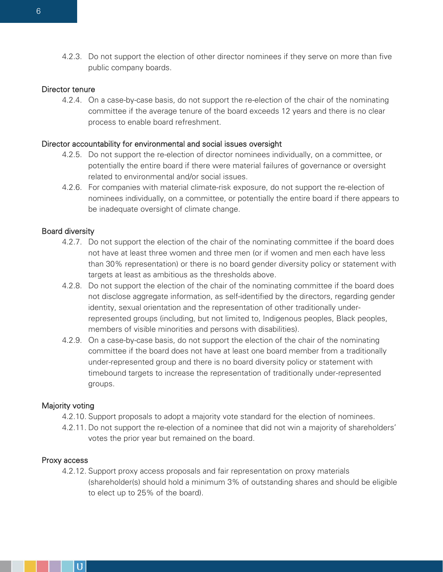4.2.3. Do not support the election of other director nominees if they serve on more than five public company boards.

#### Director tenure

4.2.4. On a case-by-case basis, do not support the re-election of the chair of the nominating committee if the average tenure of the board exceeds 12 years and there is no clear process to enable board refreshment.

#### Director accountability for environmental and social issues oversight

- 4.2.5. Do not support the re-election of director nominees individually, on a committee, or potentially the entire board if there were material failures of governance or oversight related to environmental and/or social issues.
- 4.2.6. For companies with material climate-risk exposure, do not support the re-election of nominees individually, on a committee, or potentially the entire board if there appears to be inadequate oversight of climate change.

#### Board diversity

- 4.2.7. Do not support the election of the chair of the nominating committee if the board does not have at least three women and three men (or if women and men each have less than 30% representation) or there is no board gender diversity policy or statement with targets at least as ambitious as the thresholds above.
- 4.2.8. Do not support the election of the chair of the nominating committee if the board does not disclose aggregate information, as self-identified by the directors, regarding gender identity, sexual orientation and the representation of other traditionally underrepresented groups (including, but not limited to, Indigenous peoples, Black peoples, members of visible minorities and persons with disabilities).
- 4.2.9. On a case-by-case basis, do not support the election of the chair of the nominating committee if the board does not have at least one board member from a traditionally under-represented group and there is no board diversity policy or statement with timebound targets to increase the representation of traditionally under-represented groups.

#### Majority voting

- 4.2.10. Support proposals to adopt a majority vote standard for the election of nominees.
- 4.2.11. Do not support the re-election of a nominee that did not win a majority of shareholders' votes the prior year but remained on the board.

#### Proxy access

4.2.12. Support proxy access proposals and fair representation on proxy materials (shareholder(s) should hold a minimum 3% of outstanding shares and should be eligible to elect up to 25% of the board).

D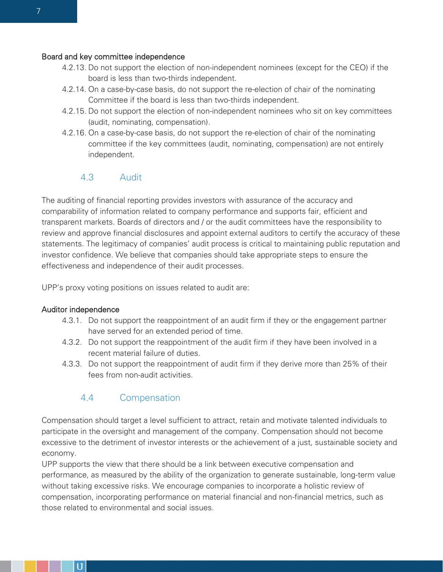#### Board and key committee independence

- 4.2.13. Do not support the election of non-independent nominees (except for the CEO) if the board is less than two-thirds independent.
- 4.2.14. On a case-by-case basis, do not support the re-election of chair of the nominating Committee if the board is less than two-thirds independent.
- 4.2.15. Do not support the election of non-independent nominees who sit on key committees (audit, nominating, compensation).
- 4.2.16. On a case-by-case basis, do not support the re-election of chair of the nominating committee if the key committees (audit, nominating, compensation) are not entirely independent.

#### 4.3 Audit

The auditing of financial reporting provides investors with assurance of the accuracy and comparability of information related to company performance and supports fair, efficient and transparent markets. Boards of directors and / or the audit committees have the responsibility to review and approve financial disclosures and appoint external auditors to certify the accuracy of these statements. The legitimacy of companies' audit process is critical to maintaining public reputation and investor confidence. We believe that companies should take appropriate steps to ensure the effectiveness and independence of their audit processes.

UPP's proxy voting positions on issues related to audit are:

#### Auditor independence

- 4.3.1. Do not support the reappointment of an audit firm if they or the engagement partner have served for an extended period of time.
- 4.3.2. Do not support the reappointment of the audit firm if they have been involved in a recent material failure of duties.
- 4.3.3. Do not support the reappointment of audit firm if they derive more than 25% of their fees from non-audit activities.

# 4.4 Compensation

Compensation should target a level sufficient to attract, retain and motivate talented individuals to participate in the oversight and management of the company. Compensation should not become excessive to the detriment of investor interests or the achievement of a just, sustainable society and economy.

UPP supports the view that there should be a link between executive compensation and performance, as measured by the ability of the organization to generate sustainable, long-term value without taking excessive risks. We encourage companies to incorporate a holistic review of compensation, incorporating performance on material financial and non-financial metrics, such as those related to environmental and social issues.

D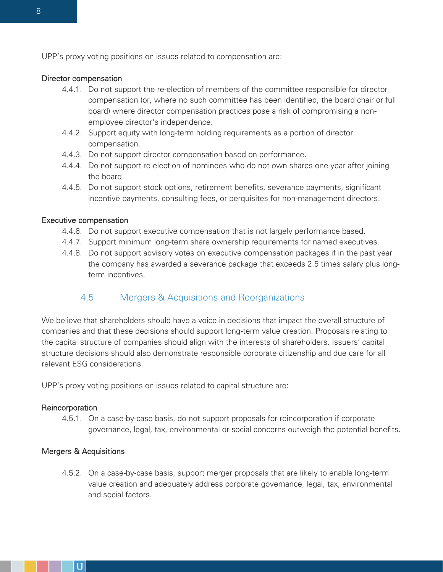UPP's proxy voting positions on issues related to compensation are:

#### Director compensation

- 4.4.1. Do not support the re-election of members of the committee responsible for director compensation (or, where no such committee has been identified, the board chair or full board) where director compensation practices pose a risk of compromising a nonemployee director's independence.
- 4.4.2. Support equity with long-term holding requirements as a portion of director compensation.
- 4.4.3. Do not support director compensation based on performance.
- 4.4.4. Do not support re-election of nominees who do not own shares one year after joining the board.
- 4.4.5. Do not support stock options, retirement benefits, severance payments, significant incentive payments, consulting fees, or perquisites for non-management directors.

#### Executive compensation

- 4.4.6. Do not support executive compensation that is not largely performance based.
- 4.4.7. Support minimum long-term share ownership requirements for named executives.
- 4.4.8. Do not support advisory votes on executive compensation packages if in the past year the company has awarded a severance package that exceeds 2.5 times salary plus longterm incentives.

#### 4.5 Mergers & Acquisitions and Reorganizations

We believe that shareholders should have a voice in decisions that impact the overall structure of companies and that these decisions should support long-term value creation. Proposals relating to the capital structure of companies should align with the interests of shareholders. Issuers' capital structure decisions should also demonstrate responsible corporate citizenship and due care for all relevant ESG considerations.

UPP's proxy voting positions on issues related to capital structure are:

#### Reincorporation

4.5.1. On a case-by-case basis, do not support proposals for reincorporation if corporate governance, legal, tax, environmental or social concerns outweigh the potential benefits.

#### Mergers & Acquisitions

4.5.2. On a case-by-case basis, support merger proposals that are likely to enable long-term value creation and adequately address corporate governance, legal, tax, environmental and social factors.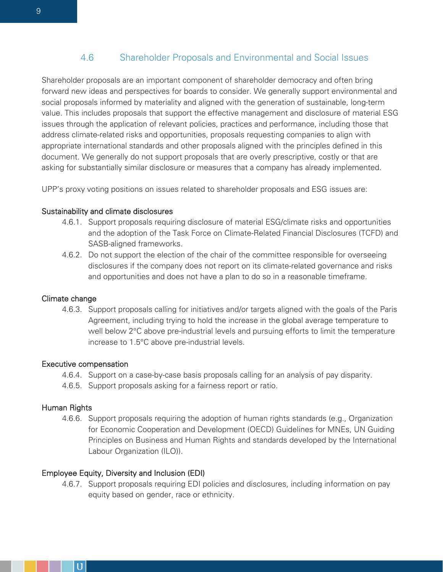### 4.6 Shareholder Proposals and Environmental and Social Issues

Shareholder proposals are an important component of shareholder democracy and often bring forward new ideas and perspectives for boards to consider. We generally support environmental and social proposals informed by materiality and aligned with the generation of sustainable, long-term value. This includes proposals that support the effective management and disclosure of material ESG issues through the application of relevant policies, practices and performance, including those that address climate-related risks and opportunities, proposals requesting companies to align with appropriate international standards and other proposals aligned with the principles defined in this document. We generally do not support proposals that are overly prescriptive, costly or that are asking for substantially similar disclosure or measures that a company has already implemented.

UPP's proxy voting positions on issues related to shareholder proposals and ESG issues are:

#### Sustainability and climate disclosures

- 4.6.1. Support proposals requiring disclosure of material ESG/climate risks and opportunities and the adoption of the Task Force on Climate-Related Financial Disclosures (TCFD) and SASB-aligned frameworks.
- 4.6.2. Do not support the election of the chair of the committee responsible for overseeing disclosures if the company does not report on its climate-related governance and risks and opportunities and does not have a plan to do so in a reasonable timeframe.

#### Climate change

4.6.3. Support proposals calling for initiatives and/or targets aligned with the goals of the Paris Agreement, including trying to hold the increase in the global average temperature to well below 2°C above pre-industrial levels and pursuing efforts to limit the temperature increase to 1.5°C above pre-industrial levels.

#### Executive compensation

- 4.6.4. Support on a case-by-case basis proposals calling for an analysis of pay disparity.
- 4.6.5. Support proposals asking for a fairness report or ratio.

#### Human Rights

4.6.6. Support proposals requiring the adoption of human rights standards (e.g., Organization for Economic Cooperation and Development (OECD) Guidelines for MNEs, UN Guiding Principles on Business and Human Rights and standards developed by the International Labour Organization (ILO)).

#### Employee Equity, Diversity and Inclusion (EDI)

4.6.7. Support proposals requiring EDI policies and disclosures, including information on pay equity based on gender, race or ethnicity.

9

D